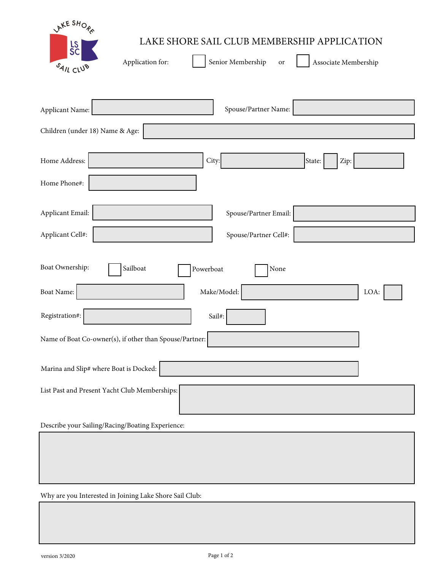| LAKE SHORE<br>LAKE SHORE SAIL CLUB MEMBERSHIP APPLICATION<br>L <sub>S</sub> C<br>Application for:<br>Senior Membership<br>Associate Membership<br>or<br>SAIL CLUB |
|-------------------------------------------------------------------------------------------------------------------------------------------------------------------|
| Spouse/Partner Name:<br>Applicant Name:<br>Children (under 18) Name & Age:                                                                                        |
| Home Address:<br>City:<br>State:<br>Zip:                                                                                                                          |
| Home Phone#:                                                                                                                                                      |
| Applicant Email:<br>Spouse/Partner Email:<br>Applicant Cell#:<br>Spouse/Partner Cell#:                                                                            |
| Boat Ownership:<br>Sailboat<br>Powerboat<br>None<br>Boat Name:<br>Make/Model:<br>LOA:                                                                             |
| Registration#:<br>Sail#:<br>Name of Boat Co-owner(s), if other than Spouse/Partner:                                                                               |
| Marina and Slip# where Boat is Docked:                                                                                                                            |
| List Past and Present Yacht Club Memberships:                                                                                                                     |
| Describe your Sailing/Racing/Boating Experience:                                                                                                                  |
|                                                                                                                                                                   |

Why are you Interested in Joining Lake Shore Sail Club: